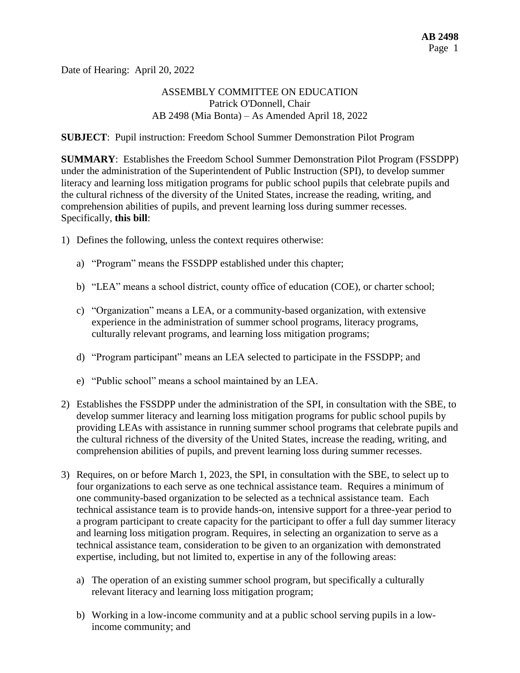Date of Hearing: April 20, 2022

## ASSEMBLY COMMITTEE ON EDUCATION Patrick O'Donnell, Chair AB 2498 (Mia Bonta) – As Amended April 18, 2022

### **SUBJECT**: Pupil instruction: Freedom School Summer Demonstration Pilot Program

**SUMMARY**: Establishes the Freedom School Summer Demonstration Pilot Program (FSSDPP) under the administration of the Superintendent of Public Instruction (SPI), to develop summer literacy and learning loss mitigation programs for public school pupils that celebrate pupils and the cultural richness of the diversity of the United States, increase the reading, writing, and comprehension abilities of pupils, and prevent learning loss during summer recesses. Specifically, **this bill**:

- 1) Defines the following, unless the context requires otherwise:
	- a) "Program" means the FSSDPP established under this chapter;
	- b) "LEA" means a school district, county office of education (COE), or charter school;
	- c) "Organization" means a LEA, or a community-based organization, with extensive experience in the administration of summer school programs, literacy programs, culturally relevant programs, and learning loss mitigation programs;
	- d) "Program participant" means an LEA selected to participate in the FSSDPP; and
	- e) "Public school" means a school maintained by an LEA.
- 2) Establishes the FSSDPP under the administration of the SPI, in consultation with the SBE, to develop summer literacy and learning loss mitigation programs for public school pupils by providing LEAs with assistance in running summer school programs that celebrate pupils and the cultural richness of the diversity of the United States, increase the reading, writing, and comprehension abilities of pupils, and prevent learning loss during summer recesses.
- 3) Requires, on or before March 1, 2023, the SPI, in consultation with the SBE, to select up to four organizations to each serve as one technical assistance team. Requires a minimum of one community-based organization to be selected as a technical assistance team. Each technical assistance team is to provide hands-on, intensive support for a three-year period to a program participant to create capacity for the participant to offer a full day summer literacy and learning loss mitigation program. Requires, in selecting an organization to serve as a technical assistance team, consideration to be given to an organization with demonstrated expertise, including, but not limited to, expertise in any of the following areas:
	- a) The operation of an existing summer school program, but specifically a culturally relevant literacy and learning loss mitigation program;
	- b) Working in a low-income community and at a public school serving pupils in a lowincome community; and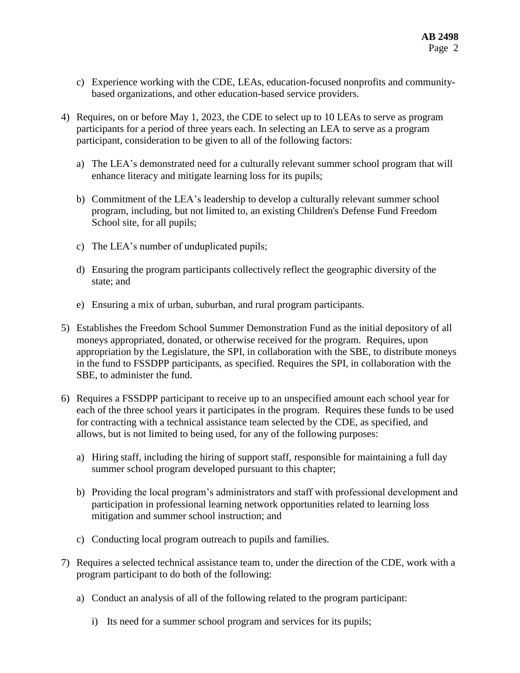- c) Experience working with the CDE, LEAs, education-focused nonprofits and communitybased organizations, and other education-based service providers.
- 4) Requires, on or before May 1, 2023, the CDE to select up to 10 LEAs to serve as program participants for a period of three years each. In selecting an LEA to serve as a program participant, consideration to be given to all of the following factors:
	- a) The LEA's demonstrated need for a culturally relevant summer school program that will enhance literacy and mitigate learning loss for its pupils;
	- b) Commitment of the LEA's leadership to develop a culturally relevant summer school program, including, but not limited to, an existing Children's Defense Fund Freedom School site, for all pupils;
	- c) The LEA's number of unduplicated pupils;
	- d) Ensuring the program participants collectively reflect the geographic diversity of the state; and
	- e) Ensuring a mix of urban, suburban, and rural program participants.
- 5) Establishes the Freedom School Summer Demonstration Fund as the initial depository of all moneys appropriated, donated, or otherwise received for the program. Requires, upon appropriation by the Legislature, the SPI, in collaboration with the SBE, to distribute moneys in the fund to FSSDPP participants, as specified. Requires the SPI, in collaboration with the SBE, to administer the fund.
- 6) Requires a FSSDPP participant to receive up to an unspecified amount each school year for each of the three school years it participates in the program. Requires these funds to be used for contracting with a technical assistance team selected by the CDE, as specified, and allows, but is not limited to being used, for any of the following purposes:
	- a) Hiring staff, including the hiring of support staff, responsible for maintaining a full day summer school program developed pursuant to this chapter;
	- b) Providing the local program's administrators and staff with professional development and participation in professional learning network opportunities related to learning loss mitigation and summer school instruction; and
	- c) Conducting local program outreach to pupils and families.
- 7) Requires a selected technical assistance team to, under the direction of the CDE, work with a program participant to do both of the following:
	- a) Conduct an analysis of all of the following related to the program participant:
		- i) Its need for a summer school program and services for its pupils;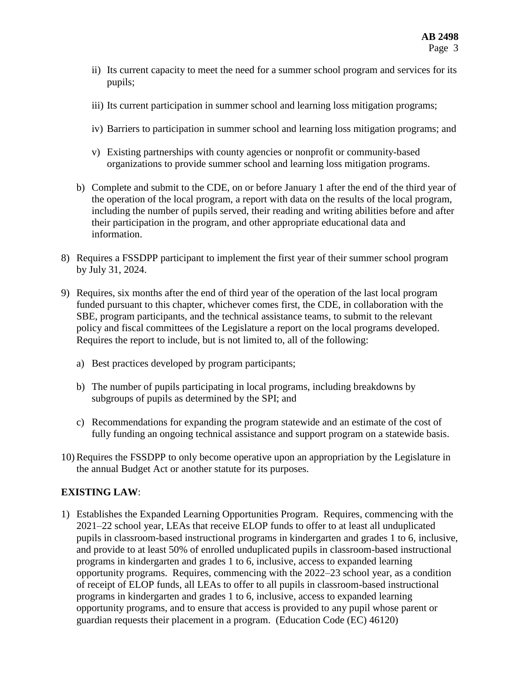- ii) Its current capacity to meet the need for a summer school program and services for its pupils;
- iii) Its current participation in summer school and learning loss mitigation programs;
- iv) Barriers to participation in summer school and learning loss mitigation programs; and
- v) Existing partnerships with county agencies or nonprofit or community-based organizations to provide summer school and learning loss mitigation programs.
- b) Complete and submit to the CDE, on or before January 1 after the end of the third year of the operation of the local program, a report with data on the results of the local program, including the number of pupils served, their reading and writing abilities before and after their participation in the program, and other appropriate educational data and information.
- 8) Requires a FSSDPP participant to implement the first year of their summer school program by July 31, 2024.
- 9) Requires, six months after the end of third year of the operation of the last local program funded pursuant to this chapter, whichever comes first, the CDE, in collaboration with the SBE, program participants, and the technical assistance teams, to submit to the relevant policy and fiscal committees of the Legislature a report on the local programs developed. Requires the report to include, but is not limited to, all of the following:
	- a) Best practices developed by program participants;
	- b) The number of pupils participating in local programs, including breakdowns by subgroups of pupils as determined by the SPI; and
	- c) Recommendations for expanding the program statewide and an estimate of the cost of fully funding an ongoing technical assistance and support program on a statewide basis.
- 10) Requires the FSSDPP to only become operative upon an appropriation by the Legislature in the annual Budget Act or another statute for its purposes.

## **EXISTING LAW**:

1) Establishes the Expanded Learning Opportunities Program. Requires, commencing with the 2021–22 school year, LEAs that receive ELOP funds to offer to at least all unduplicated pupils in classroom-based instructional programs in kindergarten and grades 1 to 6, inclusive, and provide to at least 50% of enrolled unduplicated pupils in classroom-based instructional programs in kindergarten and grades 1 to 6, inclusive, access to expanded learning opportunity programs. Requires, commencing with the 2022–23 school year, as a condition of receipt of ELOP funds, all LEAs to offer to all pupils in classroom-based instructional programs in kindergarten and grades 1 to 6, inclusive, access to expanded learning opportunity programs, and to ensure that access is provided to any pupil whose parent or guardian requests their placement in a program. (Education Code (EC) 46120)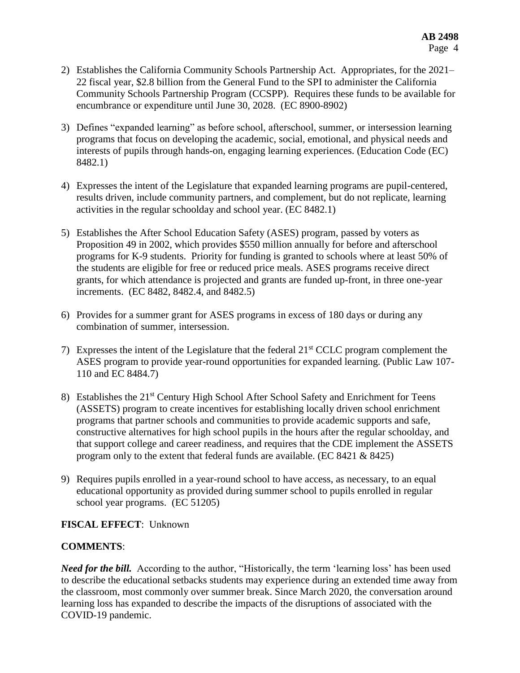- 2) Establishes the California Community Schools Partnership Act. Appropriates, for the 2021– 22 fiscal year, \$2.8 billion from the General Fund to the SPI to administer the California Community Schools Partnership Program (CCSPP). Requires these funds to be available for encumbrance or expenditure until June 30, 2028. (EC 8900-8902)
- 3) Defines "expanded learning" as before school, afterschool, summer, or intersession learning programs that focus on developing the academic, social, emotional, and physical needs and interests of pupils through hands-on, engaging learning experiences. (Education Code (EC) 8482.1)
- 4) Expresses the intent of the Legislature that expanded learning programs are pupil-centered, results driven, include community partners, and complement, but do not replicate, learning activities in the regular schoolday and school year. (EC 8482.1)
- 5) Establishes the After School Education Safety (ASES) program, passed by voters as Proposition 49 in 2002, which provides \$550 million annually for before and afterschool programs for K-9 students. Priority for funding is granted to schools where at least 50% of the students are eligible for free or reduced price meals. ASES programs receive direct grants, for which attendance is projected and grants are funded up-front, in three one-year increments. (EC 8482, 8482.4, and 8482.5)
- 6) Provides for a summer grant for ASES programs in excess of 180 days or during any combination of summer, intersession.
- 7) Expresses the intent of the Legislature that the federal 21<sup>st</sup> CCLC program complement the ASES program to provide year-round opportunities for expanded learning. (Public Law 107- 110 and EC 8484.7)
- 8) Establishes the 21<sup>st</sup> Century High School After School Safety and Enrichment for Teens (ASSETS) program to create incentives for establishing locally driven school enrichment programs that partner schools and communities to provide academic supports and safe, constructive alternatives for high school pupils in the hours after the regular schoolday, and that support college and career readiness, and requires that the CDE implement the ASSETS program only to the extent that federal funds are available. (EC 8421 & 8425)
- 9) Requires pupils enrolled in a year-round school to have access, as necessary, to an equal educational opportunity as provided during summer school to pupils enrolled in regular school year programs. (EC 51205)

## **FISCAL EFFECT**: Unknown

## **COMMENTS**:

*Need for the bill.* According to the author, "Historically, the term 'learning loss' has been used to describe the educational setbacks students may experience during an extended time away from the classroom, most commonly over summer break. Since March 2020, the conversation around learning loss has expanded to describe the impacts of the disruptions of associated with the COVID-19 pandemic.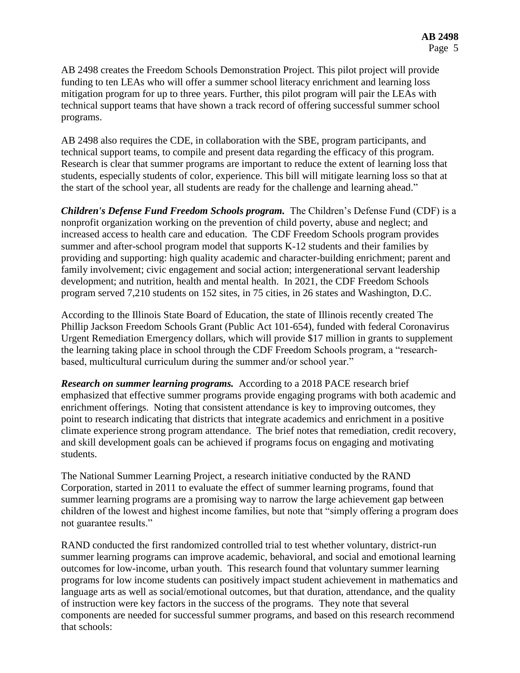AB 2498 creates the Freedom Schools Demonstration Project. This pilot project will provide funding to ten LEAs who will offer a summer school literacy enrichment and learning loss mitigation program for up to three years. Further, this pilot program will pair the LEAs with technical support teams that have shown a track record of offering successful summer school programs.

AB 2498 also requires the CDE, in collaboration with the SBE, program participants, and technical support teams, to compile and present data regarding the efficacy of this program. Research is clear that summer programs are important to reduce the extent of learning loss that students, especially students of color, experience. This bill will mitigate learning loss so that at the start of the school year, all students are ready for the challenge and learning ahead."

*Children's Defense Fund Freedom Schools program.* The Children's Defense Fund (CDF) is a nonprofit organization working on the prevention of child poverty, abuse and neglect; and increased access to health care and education. The CDF Freedom Schools program provides summer and after-school program model that supports K-12 students and their families by providing and supporting: high quality academic and character-building enrichment; parent and family involvement; civic engagement and social action; intergenerational servant leadership development; and nutrition, health and mental health. In 2021, the CDF Freedom Schools program served 7,210 students on 152 sites, in 75 cities, in 26 states and Washington, D.C.

According to the Illinois State Board of Education, the state of Illinois recently created The Phillip Jackson Freedom Schools Grant (Public Act 101-654), funded with federal Coronavirus Urgent Remediation Emergency dollars, which will provide \$17 million in grants to supplement the learning taking place in school through the CDF Freedom Schools program, a "researchbased, multicultural curriculum during the summer and/or school year."

*Research on summer learning programs.* According to a 2018 PACE research brief emphasized that effective summer programs provide engaging programs with both academic and enrichment offerings. Noting that consistent attendance is key to improving outcomes, they point to research indicating that districts that integrate academics and enrichment in a positive climate experience strong program attendance. The brief notes that remediation, credit recovery, and skill development goals can be achieved if programs focus on engaging and motivating students.

The National Summer Learning Project, a research initiative conducted by the RAND Corporation, started in 2011 to evaluate the effect of summer learning programs, found that summer learning programs are a promising way to narrow the large achievement gap between children of the lowest and highest income families, but note that "simply offering a program does not guarantee results."

RAND conducted the first randomized controlled trial to test whether voluntary, district-run summer learning programs can improve academic, behavioral, and social and emotional learning outcomes for low-income, urban youth. This research found that voluntary summer learning programs for low income students can positively impact student achievement in mathematics and language arts as well as social/emotional outcomes, but that duration, attendance, and the quality of instruction were key factors in the success of the programs. They note that several components are needed for successful summer programs, and based on this research recommend that schools: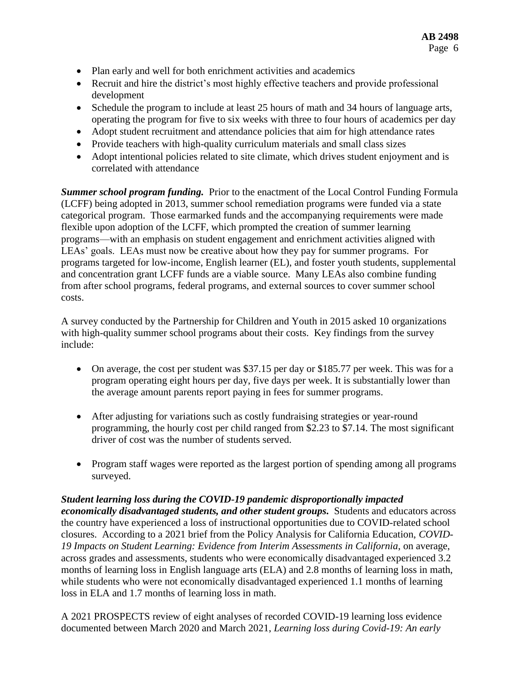- Plan early and well for both enrichment activities and academics
- Recruit and hire the district's most highly effective teachers and provide professional development
- Schedule the program to include at least 25 hours of math and 34 hours of language arts, operating the program for five to six weeks with three to four hours of academics per day
- Adopt student recruitment and attendance policies that aim for high attendance rates
- Provide teachers with high-quality curriculum materials and small class sizes
- Adopt intentional policies related to site climate, which drives student enjoyment and is correlated with attendance

*Summer school program funding.* Prior to the enactment of the Local Control Funding Formula (LCFF) being adopted in 2013, summer school remediation programs were funded via a state categorical program. Those earmarked funds and the accompanying requirements were made flexible upon adoption of the LCFF, which prompted the creation of summer learning programs—with an emphasis on student engagement and enrichment activities aligned with LEAs' goals. LEAs must now be creative about how they pay for summer programs. For programs targeted for low-income, English learner (EL), and foster youth students, supplemental and concentration grant LCFF funds are a viable source. Many LEAs also combine funding from after school programs, federal programs, and external sources to cover summer school costs.

A survey conducted by the Partnership for Children and Youth in 2015 asked 10 organizations with high-quality summer school programs about their costs. Key findings from the survey include:

- On average, the cost per student was \$37.15 per day or \$185.77 per week. This was for a program operating eight hours per day, five days per week. It is substantially lower than the average amount parents report paying in fees for summer programs.
- After adjusting for variations such as costly fundraising strategies or year-round programming, the hourly cost per child ranged from \$2.23 to \$7.14. The most significant driver of cost was the number of students served.
- Program staff wages were reported as the largest portion of spending among all programs surveyed.

### *Student learning loss during the COVID-19 pandemic disproportionally impacted*

*economically disadvantaged students, and other student groups.* Students and educators across the country have experienced a loss of instructional opportunities due to COVID-related school closures. According to a 2021 brief from the Policy Analysis for California Education, *COVID-19 Impacts on Student Learning: Evidence from Interim Assessments in California*, on average, across grades and assessments, students who were economically disadvantaged experienced 3.2 months of learning loss in English language arts (ELA) and 2.8 months of learning loss in math, while students who were not economically disadvantaged experienced 1.1 months of learning loss in ELA and 1.7 months of learning loss in math.

A 2021 PROSPECTS review of eight analyses of recorded COVID-19 learning loss evidence documented between March 2020 and March 2021, *Learning loss during Covid-19: An early*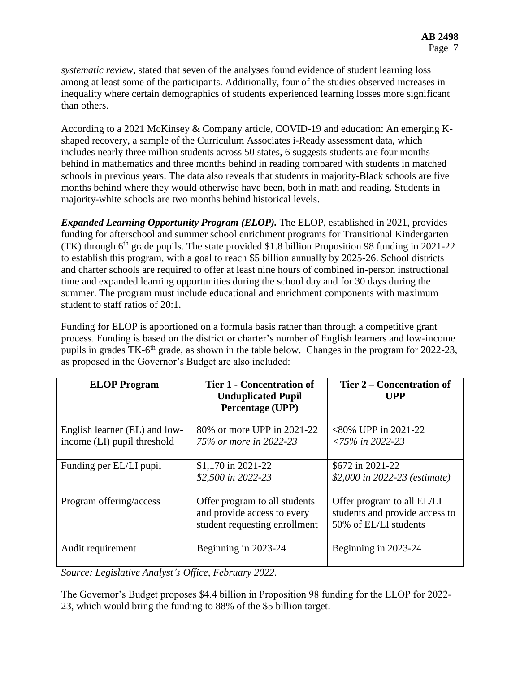*systematic review*, stated that seven of the analyses found evidence of student learning loss among at least some of the participants. Additionally, four of the studies observed increases in inequality where certain demographics of students experienced learning losses more significant than others.

According to a 2021 McKinsey & Company article, COVID-19 and education: An emerging Kshaped recovery, a sample of the Curriculum Associates i-Ready assessment data, which includes nearly three million students across 50 states, 6 suggests students are four months behind in mathematics and three months behind in reading compared with students in matched schools in previous years. The data also reveals that students in majority-Black schools are five months behind where they would otherwise have been, both in math and reading. Students in majority-white schools are two months behind historical levels.

*Expanded Learning Opportunity Program (ELOP).* The ELOP, established in 2021, provides funding for afterschool and summer school enrichment programs for Transitional Kindergarten (TK) through  $6<sup>th</sup>$  grade pupils. The state provided \$1.8 billion Proposition 98 funding in 2021-22 to establish this program, with a goal to reach \$5 billion annually by 2025-26. School districts and charter schools are required to offer at least nine hours of combined in-person instructional time and expanded learning opportunities during the school day and for 30 days during the summer. The program must include educational and enrichment components with maximum student to staff ratios of 20:1.

Funding for ELOP is apportioned on a formula basis rather than through a competitive grant process. Funding is based on the district or charter's number of English learners and low-income pupils in grades TK-6<sup>th</sup> grade, as shown in the table below. Changes in the program for 2022-23, as proposed in the Governor's Budget are also included:

| <b>ELOP</b> Program                                          | <b>Tier 1 - Concentration of</b><br><b>Unduplicated Pupil</b><br>Percentage (UPP)             | Tier 2 – Concentration of<br><b>UPP</b>                                               |
|--------------------------------------------------------------|-----------------------------------------------------------------------------------------------|---------------------------------------------------------------------------------------|
| English learner (EL) and low-<br>income (LI) pupil threshold | 80% or more UPP in 2021-22<br>75% or more in 2022-23                                          | $<80\%$ UPP in 2021-22<br>$\langle 75\% \text{ in } 2022 - 23 \rangle$                |
| Funding per EL/LI pupil                                      | \$1,170 in 2021-22<br>\$2,500 in 2022-23                                                      | \$672 in 2021-22<br>\$2,000 in 2022-23 (estimate)                                     |
| Program offering/access                                      | Offer program to all students<br>and provide access to every<br>student requesting enrollment | Offer program to all EL/LI<br>students and provide access to<br>50% of EL/LI students |
| Audit requirement                                            | Beginning in 2023-24                                                                          | Beginning in 2023-24                                                                  |

*Source: Legislative Analyst's Office, February 2022.*

The Governor's Budget proposes \$4.4 billion in Proposition 98 funding for the ELOP for 2022- 23, which would bring the funding to 88% of the \$5 billion target.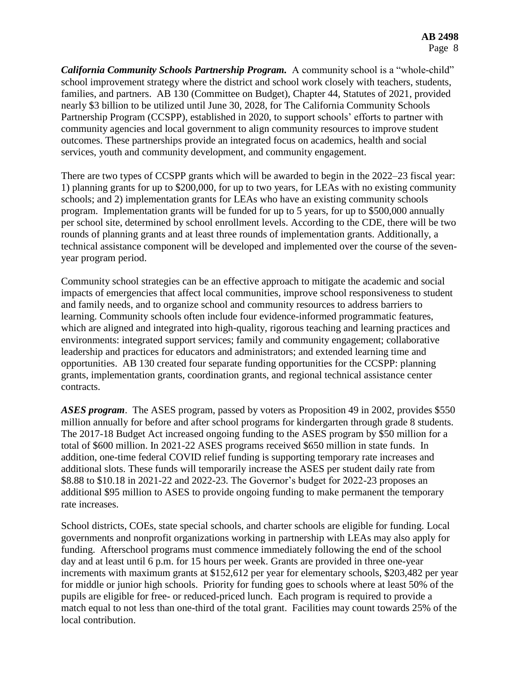*California Community Schools Partnership Program.* A community school is a "whole-child" school improvement strategy where the district and school work closely with teachers, students, families, and partners. AB 130 (Committee on Budget), Chapter 44, Statutes of 2021, provided nearly \$3 billion to be utilized until June 30, 2028, for The California Community Schools Partnership Program (CCSPP), established in 2020, to support schools' efforts to partner with community agencies and local government to align community resources to improve student outcomes. These partnerships provide an integrated focus on academics, health and social services, youth and community development, and community engagement.

There are two types of CCSPP grants which will be awarded to begin in the 2022–23 fiscal year: 1) planning grants for up to \$200,000, for up to two years, for LEAs with no existing community schools; and 2) implementation grants for LEAs who have an existing community schools program. Implementation grants will be funded for up to 5 years, for up to \$500,000 annually per school site, determined by school enrollment levels. According to the CDE, there will be two rounds of planning grants and at least three rounds of implementation grants. Additionally, a technical assistance component will be developed and implemented over the course of the sevenyear program period.

Community school strategies can be an effective approach to mitigate the academic and social impacts of emergencies that affect local communities, improve school responsiveness to student and family needs, and to organize school and community resources to address barriers to learning. Community schools often include four evidence-informed programmatic features, which are aligned and integrated into high-quality, rigorous teaching and learning practices and environments: integrated support services; family and community engagement; collaborative leadership and practices for educators and administrators; and extended learning time and opportunities. AB 130 created four separate funding opportunities for the CCSPP: planning grants, implementation grants, coordination grants, and regional technical assistance center contracts.

*ASES program*. The ASES program, passed by voters as Proposition 49 in 2002, provides \$550 million annually for before and after school programs for kindergarten through grade 8 students. The 2017-18 Budget Act increased ongoing funding to the ASES program by \$50 million for a total of \$600 million. In 2021-22 ASES programs received \$650 million in state funds. In addition, one-time federal COVID relief funding is supporting temporary rate increases and additional slots. These funds will temporarily increase the ASES per student daily rate from \$8.88 to \$10.18 in 2021-22 and 2022-23. The Governor's budget for 2022-23 proposes an additional \$95 million to ASES to provide ongoing funding to make permanent the temporary rate increases.

School districts, COEs, state special schools, and charter schools are eligible for funding. Local governments and nonprofit organizations working in partnership with LEAs may also apply for funding. Afterschool programs must commence immediately following the end of the school day and at least until 6 p.m. for 15 hours per week. Grants are provided in three one-year increments with maximum grants at \$152,612 per year for elementary schools, \$203,482 per year for middle or junior high schools. Priority for funding goes to schools where at least 50% of the pupils are eligible for free- or reduced-priced lunch. Each program is required to provide a match equal to not less than one-third of the total grant. Facilities may count towards 25% of the local contribution.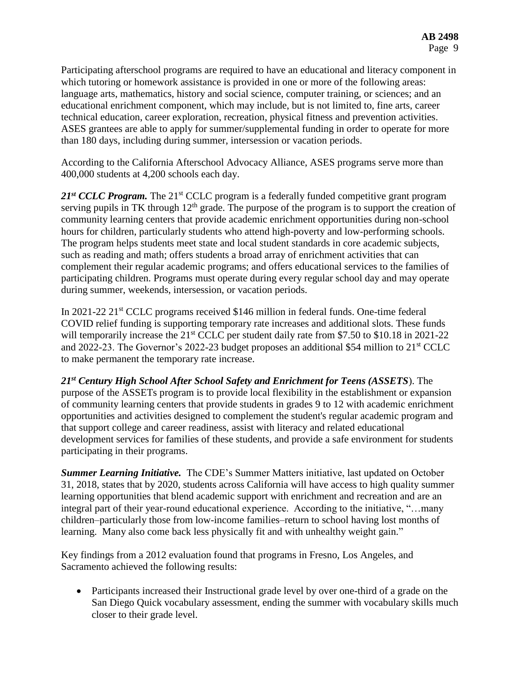Participating afterschool programs are required to have an educational and literacy component in which tutoring or homework assistance is provided in one or more of the following areas: language arts, mathematics, history and social science, computer training, or sciences; and an educational enrichment component, which may include, but is not limited to, fine arts, career technical education, career exploration, recreation, physical fitness and prevention activities. ASES grantees are able to apply for summer/supplemental funding in order to operate for more than 180 days, including during summer, intersession or vacation periods.

According to the California Afterschool Advocacy Alliance, ASES programs serve more than 400,000 students at 4,200 schools each day.

21<sup>st</sup> CCLC Program. The 21<sup>st</sup> CCLC program is a federally funded competitive grant program serving pupils in TK through  $12<sup>th</sup>$  grade. The purpose of the program is to support the creation of community learning centers that provide academic enrichment opportunities during non-school hours for children, particularly students who attend high-poverty and low-performing schools. The program helps students meet state and local student standards in core academic subjects, such as reading and math; offers students a broad array of enrichment activities that can complement their regular academic programs; and offers educational services to the families of participating children. Programs must operate during every regular school day and may operate during summer, weekends, intersession, or vacation periods.

In 2021-22 21st CCLC programs received \$146 million in federal funds. One-time federal COVID relief funding is supporting temporary rate increases and additional slots. These funds will temporarily increase the 21<sup>st</sup> CCLC per student daily rate from \$7.50 to \$10.18 in 2021-22 and 2022-23. The Governor's 2022-23 budget proposes an additional \$54 million to 21<sup>st</sup> CCLC to make permanent the temporary rate increase.

*21st Century High School After School Safety and Enrichment for Teens (ASSETS*). The purpose of the ASSETs program is to provide local flexibility in the establishment or expansion of community learning centers that provide students in grades 9 to 12 with academic enrichment opportunities and activities designed to complement the student's regular academic program and that support college and career readiness, assist with literacy and related educational development services for families of these students, and provide a safe environment for students participating in their programs.

*Summer Learning Initiative.* The CDE's Summer Matters initiative, last updated on October 31, 2018, states that by 2020, students across California will have access to high quality summer learning opportunities that blend academic support with enrichment and recreation and are an integral part of their year-round educational experience. According to the initiative, "…many children–particularly those from low-income families–return to school having lost months of learning. Many also come back less physically fit and with unhealthy weight gain."

Key findings from a 2012 evaluation found that programs in Fresno, Los Angeles, and Sacramento achieved the following results:

 Participants increased their Instructional grade level by over one-third of a grade on the San Diego Quick vocabulary assessment, ending the summer with vocabulary skills much closer to their grade level.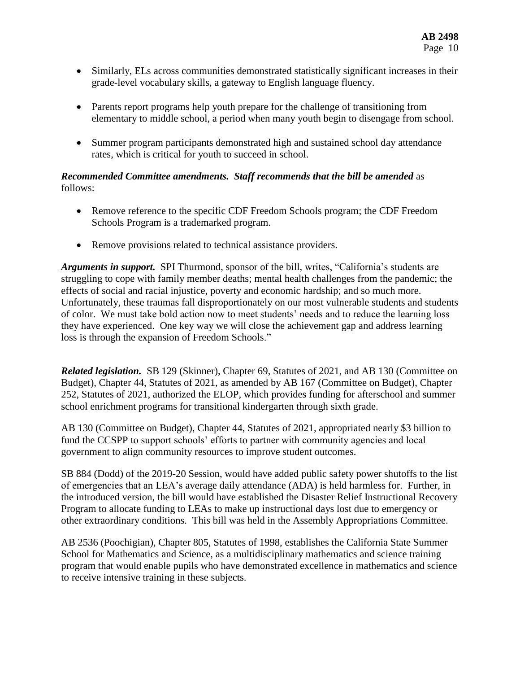- Similarly, ELs across communities demonstrated statistically significant increases in their grade-level vocabulary skills, a gateway to English language fluency.
- Parents report programs help youth prepare for the challenge of transitioning from elementary to middle school, a period when many youth begin to disengage from school.
- Summer program participants demonstrated high and sustained school day attendance rates, which is critical for youth to succeed in school.

## *Recommended Committee amendments. Staff recommends that the bill be amended* as follows:

- Remove reference to the specific CDF Freedom Schools program; the CDF Freedom Schools Program is a trademarked program.
- Remove provisions related to technical assistance providers.

*Arguments in support.* SPI Thurmond, sponsor of the bill, writes, "California's students are struggling to cope with family member deaths; mental health challenges from the pandemic; the effects of social and racial injustice, poverty and economic hardship; and so much more. Unfortunately, these traumas fall disproportionately on our most vulnerable students and students of color. We must take bold action now to meet students' needs and to reduce the learning loss they have experienced. One key way we will close the achievement gap and address learning loss is through the expansion of Freedom Schools."

*Related legislation.* SB 129 (Skinner), Chapter 69, Statutes of 2021, and AB 130 (Committee on Budget), Chapter 44, Statutes of 2021, as amended by AB 167 (Committee on Budget), Chapter 252, Statutes of 2021, authorized the ELOP, which provides funding for afterschool and summer school enrichment programs for transitional kindergarten through sixth grade.

AB 130 (Committee on Budget), Chapter 44, Statutes of 2021, appropriated nearly \$3 billion to fund the CCSPP to support schools' efforts to partner with community agencies and local government to align community resources to improve student outcomes.

SB 884 (Dodd) of the 2019-20 Session, would have added public safety power shutoffs to the list of emergencies that an LEA's average daily attendance (ADA) is held harmless for. Further, in the introduced version, the bill would have established the Disaster Relief Instructional Recovery Program to allocate funding to LEAs to make up instructional days lost due to emergency or other extraordinary conditions. This bill was held in the Assembly Appropriations Committee.

AB 2536 (Poochigian), Chapter 805, Statutes of 1998, establishes the California State Summer School for Mathematics and Science, as a multidisciplinary mathematics and science training program that would enable pupils who have demonstrated excellence in mathematics and science to receive intensive training in these subjects.